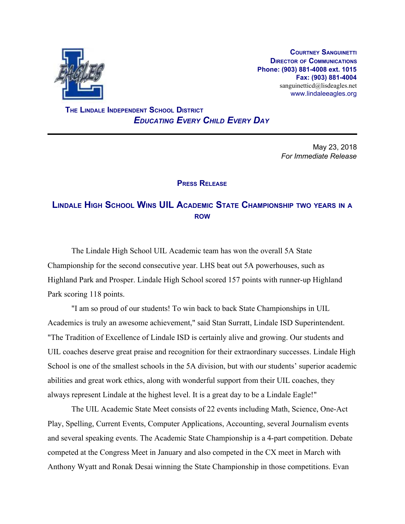

**COURTNEY SANGUINETTI DIRECTOR OF COMMUNICATIONS Phone: (903) 881-4008 ext. 1015 Fax: (903) 881-4004** sanguinetticd@lisdeagles.net www.lindaleeagles.org

 **THE LINDALE INDEPENDENT SCHOOL DISTRICT** *EDUCATING EVERY CHILD EVERY DAY*

> May 23, 2018 *For Immediate Release*

## **PRESS RELEASE**

## **LINDALE HIGH SCHOOL WINS UIL ACADEMIC STATE CHAMPIONSHIP TWO YEARS IN <sup>A</sup> ROW**

The Lindale High School UIL Academic team has won the overall 5A State Championship for the second consecutive year. LHS beat out 5A powerhouses, such as Highland Park and Prosper. Lindale High School scored 157 points with runner-up Highland Park scoring 118 points.

"I am so proud of our students! To win back to back State Championships in UIL Academics is truly an awesome achievement," said Stan Surratt, Lindale ISD Superintendent. "The Tradition of Excellence of Lindale ISD is certainly alive and growing. Our students and UIL coaches deserve great praise and recognition for their extraordinary successes. Lindale High School is one of the smallest schools in the 5A division, but with our students' superior academic abilities and great work ethics, along with wonderful support from their UIL coaches, they always represent Lindale at the highest level. It is a great day to be a Lindale Eagle!"

The UIL Academic State Meet consists of 22 events including Math, Science, One-Act Play, Spelling, Current Events, Computer Applications, Accounting, several Journalism events and several speaking events. The Academic State Championship is a 4-part competition. Debate competed at the Congress Meet in January and also competed in the CX meet in March with Anthony Wyatt and Ronak Desai winning the State Championship in those competitions. Evan